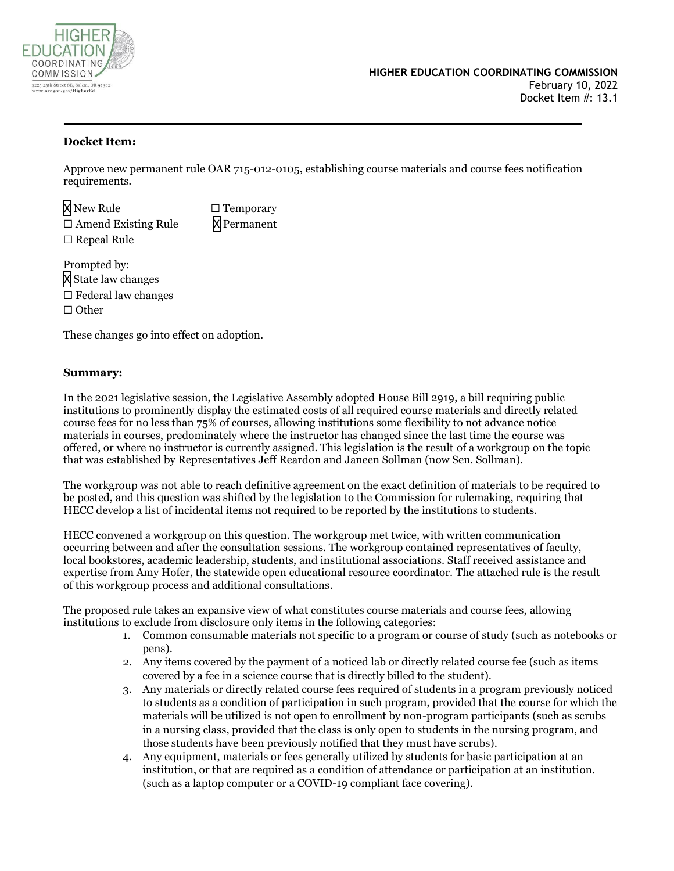

### **Docket Item:**

Approve new permanent rule OAR 715-012-0105, establishing course materials and course fees notification requirements.

X New Rule □ Temporary  $\Box$  Amend Existing Rule  $\times$  Permanent ☐ Repeal Rule

Prompted by: X State law changes  $\Box$  Federal law changes ☐ Other

These changes go into effect on adoption.

### **Summary:**

In the 2021 legislative session, the Legislative Assembly adopted House Bill 2919, a bill requiring public institutions to prominently display the estimated costs of all required course materials and directly related course fees for no less than 75% of courses, allowing institutions some flexibility to not advance notice materials in courses, predominately where the instructor has changed since the last time the course was offered, or where no instructor is currently assigned. This legislation is the result of a workgroup on the topic that was established by Representatives Jeff Reardon and Janeen Sollman (now Sen. Sollman).

The workgroup was not able to reach definitive agreement on the exact definition of materials to be required to be posted, and this question was shifted by the legislation to the Commission for rulemaking, requiring that HECC develop a list of incidental items not required to be reported by the institutions to students.

HECC convened a workgroup on this question. The workgroup met twice, with written communication occurring between and after the consultation sessions. The workgroup contained representatives of faculty, local bookstores, academic leadership, students, and institutional associations. Staff received assistance and expertise from Amy Hofer, the statewide open educational resource coordinator. The attached rule is the result of this workgroup process and additional consultations.

The proposed rule takes an expansive view of what constitutes course materials and course fees, allowing institutions to exclude from disclosure only items in the following categories:

- 1. Common consumable materials not specific to a program or course of study (such as notebooks or pens).
- 2. Any items covered by the payment of a noticed lab or directly related course fee (such as items covered by a fee in a science course that is directly billed to the student).
- 3. Any materials or directly related course fees required of students in a program previously noticed to students as a condition of participation in such program, provided that the course for which the materials will be utilized is not open to enrollment by non-program participants (such as scrubs in a nursing class, provided that the class is only open to students in the nursing program, and those students have been previously notified that they must have scrubs).
- 4. Any equipment, materials or fees generally utilized by students for basic participation at an institution, or that are required as a condition of attendance or participation at an institution. (such as a laptop computer or a COVID-19 compliant face covering).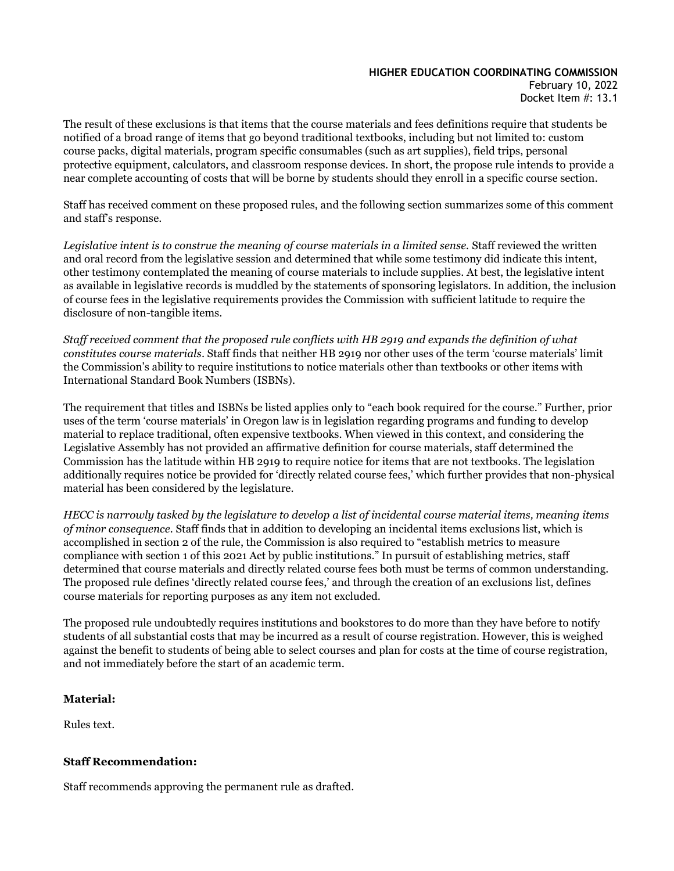# **HIGHER EDUCATION COORDINATING COMMISSION**

February 10, 2022 Docket Item #: 13.1

The result of these exclusions is that items that the course materials and fees definitions require that students be notified of a broad range of items that go beyond traditional textbooks, including but not limited to: custom course packs, digital materials, program specific consumables (such as art supplies), field trips, personal protective equipment, calculators, and classroom response devices. In short, the propose rule intends to provide a near complete accounting of costs that will be borne by students should they enroll in a specific course section.

Staff has received comment on these proposed rules, and the following section summarizes some of this comment and staff's response.

*Legislative intent is to construe the meaning of course materials in a limited sense.* Staff reviewed the written and oral record from the legislative session and determined that while some testimony did indicate this intent, other testimony contemplated the meaning of course materials to include supplies. At best, the legislative intent as available in legislative records is muddled by the statements of sponsoring legislators. In addition, the inclusion of course fees in the legislative requirements provides the Commission with sufficient latitude to require the disclosure of non-tangible items.

*Staff received comment that the proposed rule conflicts with HB 2919 and expands the definition of what constitutes course materials*. Staff finds that neither HB 2919 nor other uses of the term 'course materials' limit the Commission's ability to require institutions to notice materials other than textbooks or other items with International Standard Book Numbers (ISBNs).

The requirement that titles and ISBNs be listed applies only to "each book required for the course." Further, prior uses of the term 'course materials' in Oregon law is in legislation regarding programs and funding to develop material to replace traditional, often expensive textbooks. When viewed in this context, and considering the Legislative Assembly has not provided an affirmative definition for course materials, staff determined the Commission has the latitude within HB 2919 to require notice for items that are not textbooks. The legislation additionally requires notice be provided for 'directly related course fees,' which further provides that non-physical material has been considered by the legislature.

*HECC is narrowly tasked by the legislature to develop a list of incidental course material items, meaning items of minor consequence.* Staff finds that in addition to developing an incidental items exclusions list, which is accomplished in section 2 of the rule, the Commission is also required to "establish metrics to measure compliance with section 1 of this 2021 Act by public institutions." In pursuit of establishing metrics, staff determined that course materials and directly related course fees both must be terms of common understanding. The proposed rule defines 'directly related course fees,' and through the creation of an exclusions list, defines course materials for reporting purposes as any item not excluded.

The proposed rule undoubtedly requires institutions and bookstores to do more than they have before to notify students of all substantial costs that may be incurred as a result of course registration. However, this is weighed against the benefit to students of being able to select courses and plan for costs at the time of course registration, and not immediately before the start of an academic term.

## **Material:**

Rules text.

## **Staff Recommendation:**

Staff recommends approving the permanent rule as drafted.